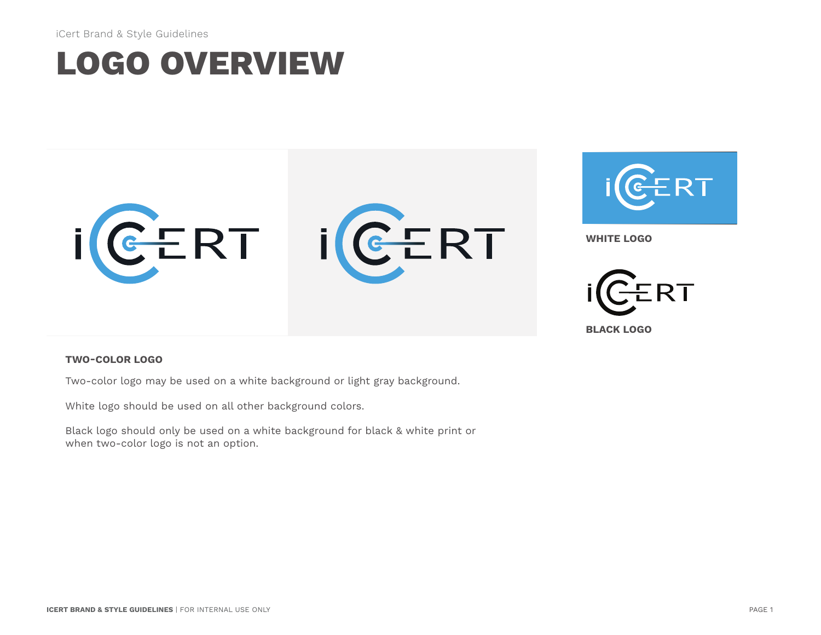iCert Brand & Style Guidelines

### **LOGO OVERVIEW**



#### **TWO-COLOR LOGO**

Two-color logo may be used on a white background or light gray background.

White logo should be used on all other background colors.

Black logo should only be used on a white background for black & white print or when two-color logo is not an option.

**BLACK LOGO**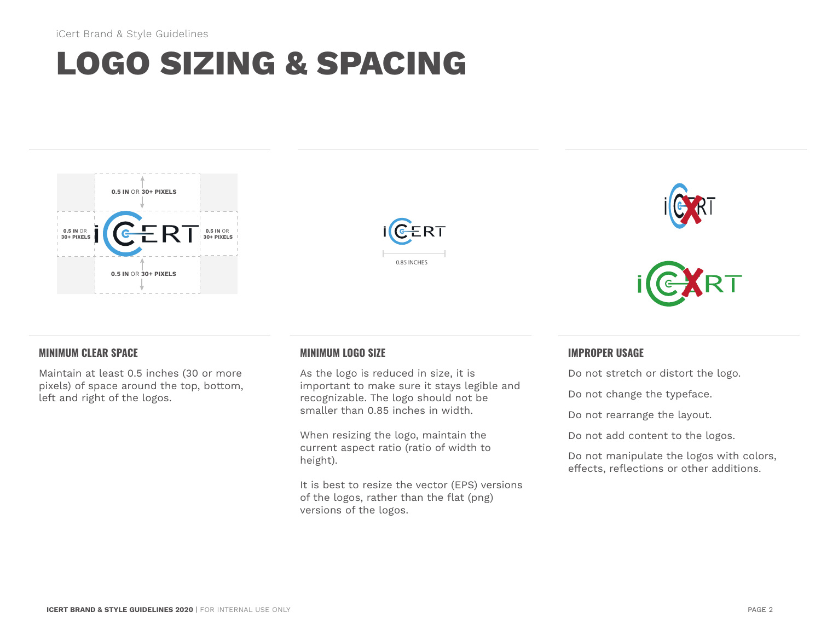## **LOGO SIZING & SPACING**









### **MINIMUM CLEAR SPACE**

Maintain at least 0.5 inches (30 or more pixels) of space around the top, bottom, left and right of the logos.

### **MINIMUM LOGO SIZE**

As the logo is reduced in size, it is important to make sure it stays legible and recognizable. The logo should not be smaller than 0.85 inches in width.

When resizing the logo, maintain the current aspect ratio (ratio of width to height).

It is best to resize the vector (EPS) versions of the logos, rather than the flat (png) versions of the logos.

#### **IMPROPER USAGE**

Do not stretch or distort the logo.

Do not change the typeface.

Do not rearrange the layout.

Do not add content to the logos.

Do not manipulate the logos with colors, effects, reflections or other additions.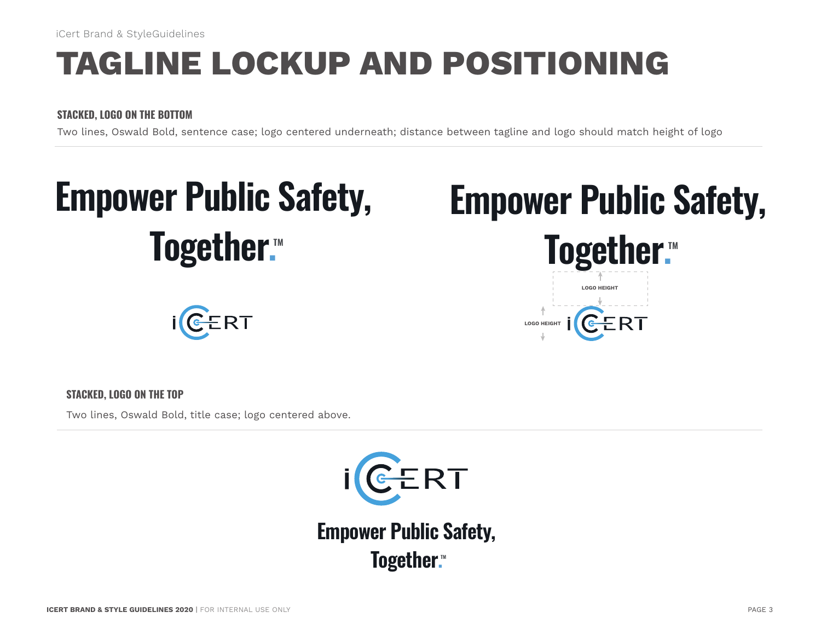iCert Brand & StyleGuidelines

### **TAGLINE LOCKUP AND POSITIONING**

### **STACKED, LOGO ON THE BOTTOM**

Two lines, Oswald Bold, sentence case; logo centered underneath; distance between tagline and logo should match height of logo



## ERT



**LOGO HEIGHT**

#### **STACKED, LOGO ON THE TOP**

Two lines, Oswald Bold, title case; logo centered above.



**Together.™ Empower Public Safety,**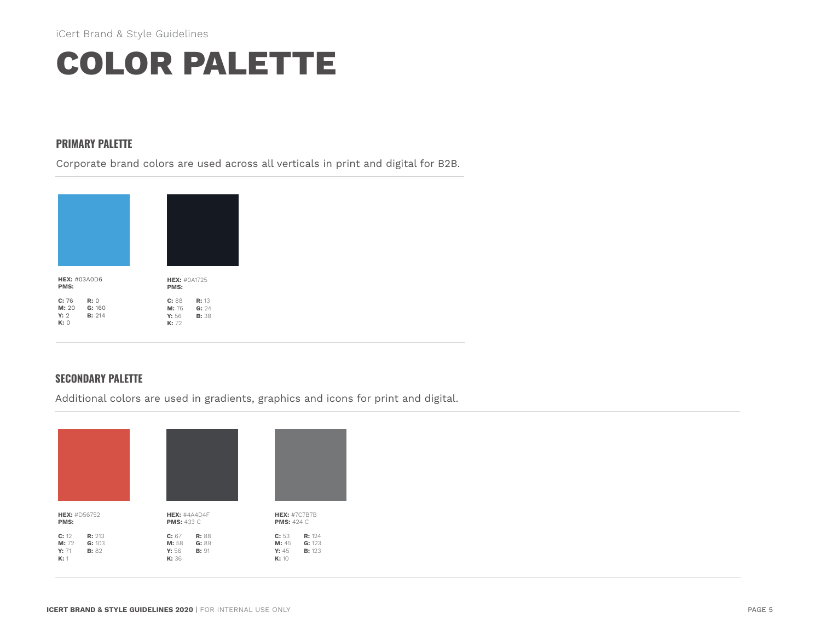### **COLOR PALETTE**

#### **PRIMARY PALETTE**

Corporate brand colors are used across all verticals in print and digital for B2B.



### **SECONDARY PALETTE**

Additional colors are used in gradients, graphics and icons for print and digital.